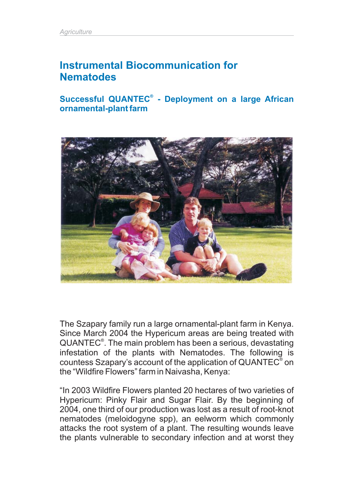# **Instrumental Biocommunication for Nematodes**

Successful QUANTEC<sup>®</sup> - Deployment on a large African **ornamental-plant farm**



The Szapary family run a large ornamental-plant farm in Kenya. Since March 2004 the Hypericum areas are being treated with QUANTEC<sup>®</sup>. The main problem has been a serious, devastating infestation of the plants with Nematodes. The following is countess Szapary's account of the application of QUANTEC<sup>®</sup> on the "Wildfire Flowers" farm in Naivasha, Kenya:

"In 2003 Wildfire Flowers planted 20 hectares of two varieties of Hypericum: Pinky Flair and Sugar Flair. By the beginning of 2004, one third of our production was lost as a result of root-knot nematodes (meloidogyne spp), an eelworm which commonly attacks the root system of a plant. The resulting wounds leave the plants vulnerable to secondary infection and at worst they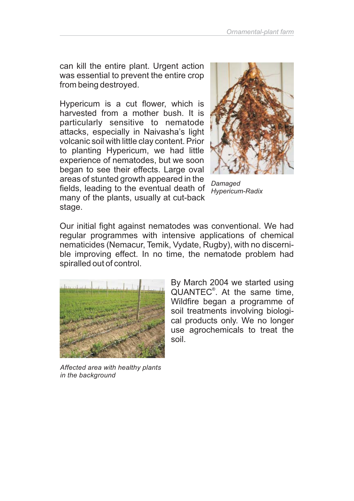can kill the entire plant. Urgent action was essential to prevent the entire crop from being destroyed.

Hypericum is a cut flower, which is harvested from a mother bush. It is particularly sensitive to nematode attacks, especially in Naivasha's light volcanic soil with little clay content. Prior to planting Hypericum, we had little experience of nematodes, but we soon began to see their effects. Large oval areas of stunted growth appeared in the fields, leading to the eventual death of many of the plants, usually at cut-back stage.



*Damaged Hypericum-Radix*

Our initial fight against nematodes was conventional. We had regular programmes with intensive applications of chemical nematicides (Nemacur, Temik, Vydate, Rugby), with no discernible improving effect. In no time, the nematode problem had spiralled out of control.



*Affected area with healthy plants in the background*

By March 2004 we started using QUANTEC<sup>®</sup>. At the same time, Wildfire began a programme of soil treatments involving biological products only. We no longer use agrochemicals to treat the soil.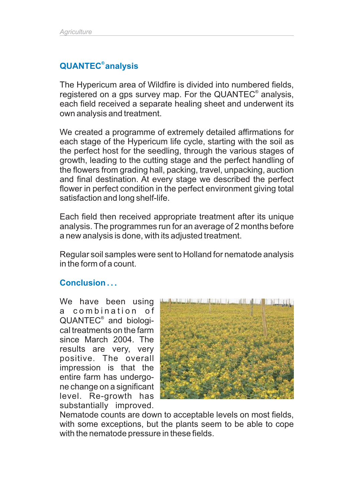### **QUANTEC analysis ®**

The Hypericum area of Wildfire is divided into numbered fields, registered on a gps survey map. For the QUANTEC<sup>®</sup> analysis, each field received a separate healing sheet and underwent its own analysis and treatment.

We created a programme of extremely detailed affirmations for each stage of the Hypericum life cycle, starting with the soil as the perfect host for the seedling, through the various stages of growth, leading to the cutting stage and the perfect handling of the flowers from grading hall, packing, travel, unpacking, auction and final destination. At every stage we described the perfect flower in perfect condition in the perfect environment giving total satisfaction and long shelf-life.

Each field then received appropriate treatment after its unique analysis. The programmes run for an average of 2 months before a new analysis is done, with its adjusted treatment.

Regular soil samples were sent to Holland for nematode analysis in the form of a count.

### **Conclusion . . .**

We have been using a combination of QUANTEC<sup>®</sup> and biological treatments on the farm since March 2004. The results are very, very positive. The overall impression is that the entire farm has undergone change on a significant level. Re-growth has substantially improved.



Nematode counts are down to acceptable levels on most fields, with some exceptions, but the plants seem to be able to cope with the nematode pressure in these fields.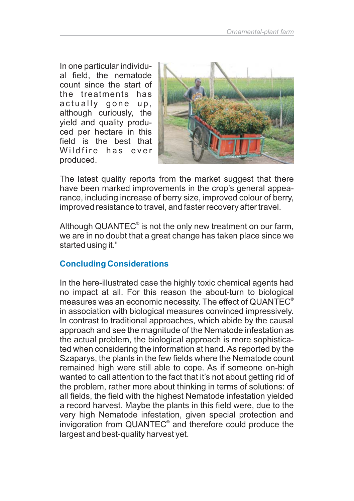In one particular individual field, the nematode count since the start of the treatments has actually gone up, although curiously, the yield and quality produced per hectare in this field is the best that Wildfire has ever produced.



The latest quality reports from the market suggest that there have been marked improvements in the crop's general appearance, including increase of berry size, improved colour of berry, improved resistance to travel, and faster recovery after travel.

Although QUANTEC<sup>®</sup> is not the only new treatment on our farm, we are in no doubt that a great change has taken place since we started using it."

## **Concluding Considerations**

In the here-illustrated case the highly toxic chemical agents had no impact at all. For this reason the about-turn to biological measures was an economic necessity. The effect of QUANTEC $^\circ$ in association with biological measures convinced impressively. In contrast to traditional approaches, which abide by the causal approach and see the magnitude of the Nematode infestation as the actual problem, the biological approach is more sophisticated when considering the information at hand. As reported by the Szaparys, the plants in the few fields where the Nematode count remained high were still able to cope. As if someone on-high wanted to call attention to the fact that it's not about getting rid of the problem, rather more about thinking in terms of solutions: of all fields, the field with the highest Nematode infestation yielded a record harvest. Maybe the plants in this field were, due to the very high Nematode infestation, given special protection and invigoration from QUANTEC $^{\circ}$  and therefore could produce the largest and best-quality harvest yet.